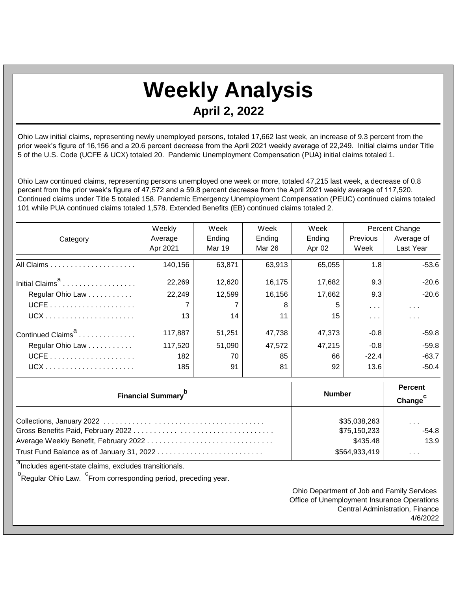## **Weekly Analysis April 2, 2022**

Ohio Law initial claims, representing newly unemployed persons, totaled 17,662 last week, an increase of 9.3 percent from the prior week's figure of 16,156 and a 20.6 percent decrease from the April 2021 weekly average of 22,249. Initial claims under Title 5 of the U.S. Code (UCFE & UCX) totaled 20. Pandemic Unemployment Compensation (PUA) initial claims totaled 1.

Ohio Law continued claims, representing persons unemployed one week or more, totaled 47,215 last week, a decrease of 0.8 percent from the prior week's figure of 47,572 and a 59.8 percent decrease from the April 2021 weekly average of 117,520. Continued claims under Title 5 totaled 158. Pandemic Emergency Unemployment Compensation (PEUC) continued claims totaled 101 while PUA continued claims totaled 1,578. Extended Benefits (EB) continued claims totaled 2.

|                                       | Weekly        | Week          | Week<br>Week        |        | Percent Change       |               |
|---------------------------------------|---------------|---------------|---------------------|--------|----------------------|---------------|
| Category                              | Average       | Ending        | Ending              | Ending | Previous             | Average of    |
|                                       | Apr 2021      | <b>Mar 19</b> | <b>Mar 26</b>       | Apr 02 | Week                 | Last Year     |
|                                       | 140,156       | 63,871        | 63,913              | 65,055 | 1.8                  | $-53.6$       |
| Initial Claims <sup>a</sup>           | 22,269        | 12,620        | 16,175              | 17,682 | 9.3                  | $-20.6$       |
| Regular Ohio Law                      | 22,249        | 12,599        | 16,156              | 17,662 | 9.3                  | $-20.6$       |
|                                       |               |               | 8                   | 5      | $\sim 100$           | $\sim$ $\sim$ |
|                                       | 13            | 14            | 11                  | 15     | $\sim$ $\sim$ $\sim$ | $\cdots$      |
| Continued Claims <sup>a</sup>         | 117,887       | 51,251        | 47,738              | 47,373 | $-0.8$               | $-59.8$       |
| Regular Ohio Law                      | 117,520       | 51,090        | 47,572              | 47,215 | $-0.8$               | $-59.8$       |
|                                       | 182           | 70            | 85                  | 66     | $-22.4$              | $-63.7$       |
|                                       | 185           | 91            | 81                  | 92     | 13.6                 | $-50.4$       |
|                                       |               |               | <b>Percent</b>      |        |                      |               |
| <b>Financial Summary</b> <sup>b</sup> | <b>Number</b> |               | Change <sup>c</sup> |        |                      |               |
|                                       |               |               |                     |        | \$35,038,263         |               |
|                                       | \$75,150,233  |               | $\cdots$<br>$-54.8$ |        |                      |               |

Average Weekly Benefit, February 2022 . . . . . . . . . . . . . . . . . . . . . . . . . . . . . . . \$435.48 13.9

Trust Fund Balance as of January 31, 2022 . . . . . . . . . . . . . . . . . . . . . . . . . . \$564,933,419 . . .

<sup>a</sup>Includes agent-state claims, excludes transitionals.

<sup>b</sup>Regular Ohio Law. <sup>C</sup>From corresponding period, preceding year.

Ohio Department of Job and Family Services Office of Unemployment Insurance Operations Central Administration, Finance 4/6/2022